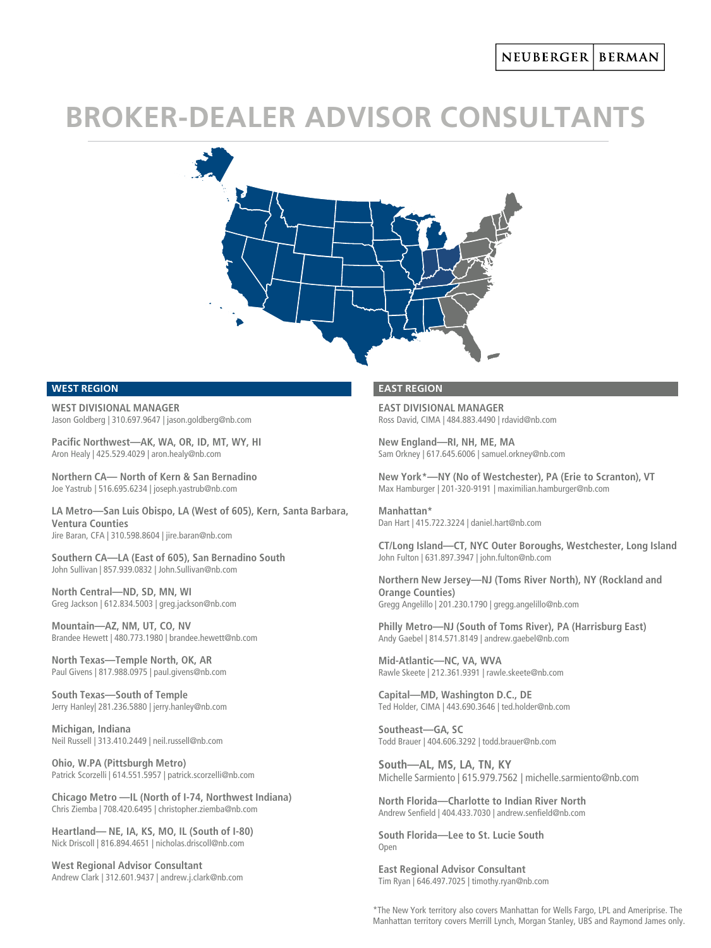# **BROKER-DEALER ADVISOR CONSULTANTS**



## **WEST REGION**

**WEST DIVISIONAL MANAGER** Jason Goldberg | 310.697.9647 | jason.goldberg@nb.com

**Pacific Northwest—AK, WA, OR, ID, MT, WY, HI** Aron Healy | 425.529.4029 | aron.healy@nb.com

**Northern CA— North of Kern & San Bernadino** Joe Yastrub | 516.695.6234 | joseph.yastrub@nb.com

**LA Metro—San Luis Obispo, LA (West of 605), Kern, Santa Barbara, Ventura Counties** Jire Baran, CFA | 310.598.8604 | jire.baran@nb.com

**Southern CA—LA (East of 605), San Bernadino South**  John Sullivan | 857.939.0832 | John.Sullivan@nb.com

**North Central—ND, SD, MN, WI** Greg Jackson | 612.834.5003 | greg.jackson@nb.com

**Mountain—AZ, NM, UT, CO, NV** Brandee Hewett | 480.773.1980 | brandee.hewett@nb.com

**North Texas—Temple North, OK, AR** Paul Givens | 817.988.0975 | paul.givens@nb.com

**South Texas—South of Temple** Jerry Hanley| 281.236.5880 | jerry.hanley@nb.com

**Michigan, Indiana** Neil Russell | 313.410.2449 | neil.russell@nb.com

**Ohio, W.PA (Pittsburgh Metro)** Patrick Scorzelli | 614.551.5957 | patrick.scorzelli@nb.com

**Chicago Metro —IL (North of I-74, Northwest Indiana)** Chris Ziemba | 708.420.6495 | christopher.ziemba@nb.com

**Heartland— NE, IA, KS, MO, IL (South of I-80)** Nick Driscoll | 816.894.4651 | nicholas.driscoll@nb.com

**West Regional Advisor Consultant** Andrew Clark | 312.601.9437 | andrew.j.clark@nb.com

#### **EAST REGION**

**EAST DIVISIONAL MANAGER** Ross David, CIMA | 484.883.4490 | rdavid@nb.com

**New England—RI, NH, ME, MA** Sam Orkney | 617.645.6006 | samuel.orkney@nb.com

**New York\*—NY (No of Westchester), PA (Erie to Scranton), VT** Max Hamburger | 201-320-9191 | maximilian.hamburger@nb.com

**Manhattan\*** Dan Hart | 415.722.3224 | daniel.hart@nb.com

**CT/Long Island—CT, NYC Outer Boroughs, Westchester, Long Island** John Fulton | 631.897.3947 | john.fulton@nb.com

**Northern New Jersey—NJ (Toms River North), NY (Rockland and Orange Counties)** Gregg Angelillo | 201.230.1790 | gregg.angelillo@nb.com

**Philly Metro—NJ (South of Toms River), PA (Harrisburg East)** Andy Gaebel | 814.571.8149 | andrew.gaebel@nb.com

**Mid-Atlantic—NC, VA, WVA** Rawle Skeete | 212.361.9391 | rawle.skeete@nb.com

**Capital—MD, Washington D.C., DE** Ted Holder, CIMA | 443.690.3646 | ted.holder@nb.com

**Southeast—GA, SC** Todd Brauer | 404.606.3292 | todd.brauer@nb.com

**South—AL, MS, LA, TN, KY** Michelle Sarmiento | 615.979.7562 | michelle.sarmiento@nb.com

**North Florida—Charlotte to Indian River North** Andrew Senfield | 404.433.7030 | andrew.senfield@nb.com

**South Florida—Lee to St. Lucie South** Open

**East Regional Advisor Consultant** Tim Ryan | 646.497.7025 | timothy.ryan@nb.com

\*The New York territory also covers Manhattan for Wells Fargo, LPL and Ameriprise. The Manhattan territory covers Merrill Lynch, Morgan Stanley, UBS and Raymond James only.